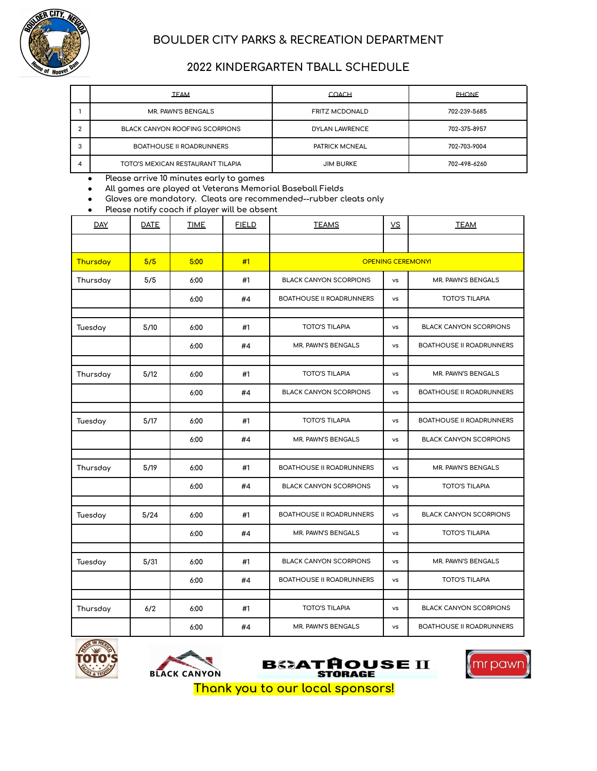

## **BOULDER CITY PARKS & RECREATION DEPARTMENT**

## **2022 KINDERGARTEN TBALL SCHEDULE**

|                | <b>TEAM</b>                           | <b>COACH</b>          | <b>PHONE</b> |
|----------------|---------------------------------------|-----------------------|--------------|
|                | MR. PAWN'S BENGALS                    | <b>FRITZ MCDONALD</b> | 702-239-5685 |
| $\overline{2}$ | <b>BLACK CANYON ROOFING SCORPIONS</b> | <b>DYLAN LAWRENCE</b> | 702-375-8957 |
| 3              | <b>BOATHOUSE II ROADRUNNERS</b>       | PATRICK MCNEAL        | 702-703-9004 |
| 4              | TOTO'S MEXICAN RESTAURANT TILAPIA     | <b>JIM BURKE</b>      | 702-498-6260 |

**● Please arrive 10 minutes early to games**

**● All games are played at Veterans Memorial Baseball Fields**

**● Gloves are mandatory. Cleats are recommended--rubber cleats only**

**● Please notify coach if player will be absent**

| <b>DAY</b> | DATE | <b>TIME</b> | <b>FIELD</b> | <b>TEAMS</b>                    | $\underline{\mathsf{VS}}$ | <b>TEAM</b>                     |
|------------|------|-------------|--------------|---------------------------------|---------------------------|---------------------------------|
|            |      |             |              |                                 |                           |                                 |
| Thursday   | 5/5  | 5:00        | #1           | <b>OPENING CEREMONY!</b>        |                           |                                 |
| Thursday   | 5/5  | 6:00        | #1           | <b>BLACK CANYON SCORPIONS</b>   | <b>VS</b>                 | MR. PAWN'S BENGALS              |
|            |      | 6:00        | #4           | <b>BOATHOUSE II ROADRUNNERS</b> | vs                        | <b>TOTO'S TILAPIA</b>           |
|            |      |             |              |                                 |                           |                                 |
| Tuesday    | 5/10 | 6:00        | #1           | <b>TOTO'S TILAPIA</b>           | <b>vs</b>                 | <b>BLACK CANYON SCORPIONS</b>   |
|            |      | 6:00        | #4           | MR. PAWN'S BENGALS              | <b>vs</b>                 | <b>BOATHOUSE II ROADRUNNERS</b> |
|            |      |             |              |                                 |                           |                                 |
| Thursday   | 5/12 | 6:00        | #1           | <b>TOTO'S TILAPIA</b>           | <b>VS</b>                 | MR. PAWN'S BENGALS              |
|            |      | 6:00        | #4           | <b>BLACK CANYON SCORPIONS</b>   | vs                        | <b>BOATHOUSE II ROADRUNNERS</b> |
|            |      |             |              |                                 |                           |                                 |
| Tuesday    | 5/17 | 6:00        | #1           | <b>TOTO'S TILAPIA</b>           | vs                        | <b>BOATHOUSE II ROADRUNNERS</b> |
|            |      | 6:00        | #4           | MR. PAWN'S BENGALS              | <b>vs</b>                 | <b>BLACK CANYON SCORPIONS</b>   |
|            |      |             |              |                                 |                           |                                 |
| Thursday   | 5/19 | 6:00        | #1           | <b>BOATHOUSE II ROADRUNNERS</b> | <b>vs</b>                 | MR. PAWN'S BENGALS              |
|            |      | 6:00        | #4           | <b>BLACK CANYON SCORPIONS</b>   | <b>VS</b>                 | <b>TOTO'S TILAPIA</b>           |
|            |      |             |              |                                 |                           |                                 |
| Tuesday    | 5/24 | 6:00        | #1           | <b>BOATHOUSE II ROADRUNNERS</b> | <b>VS</b>                 | <b>BLACK CANYON SCORPIONS</b>   |
|            |      | 6:00        | #4           | MR. PAWN'S BENGALS              | <b>vs</b>                 | <b>TOTO'S TILAPIA</b>           |
|            |      |             |              |                                 |                           |                                 |
| Tuesday    | 5/31 | 6:00        | #1           | <b>BLACK CANYON SCORPIONS</b>   | vs                        | MR. PAWN'S BENGALS              |
|            |      | 6:00        | #4           | <b>BOATHOUSE II ROADRUNNERS</b> | <b>VS</b>                 | <b>TOTO'S TILAPIA</b>           |
|            |      |             |              |                                 |                           |                                 |
| Thursday   | 6/2  | 6:00        | #1           | <b>TOTO'S TILAPIA</b>           | <b>VS</b>                 | <b>BLACK CANYON SCORPIONS</b>   |
|            |      | 6:00        | #4           | MR. PAWN'S BENGALS              | <b>vs</b>                 | <b>BOATHOUSE II ROADRUNNERS</b> |





**B&BATHOUSE II** 



**Thank you to our local sponsors!**